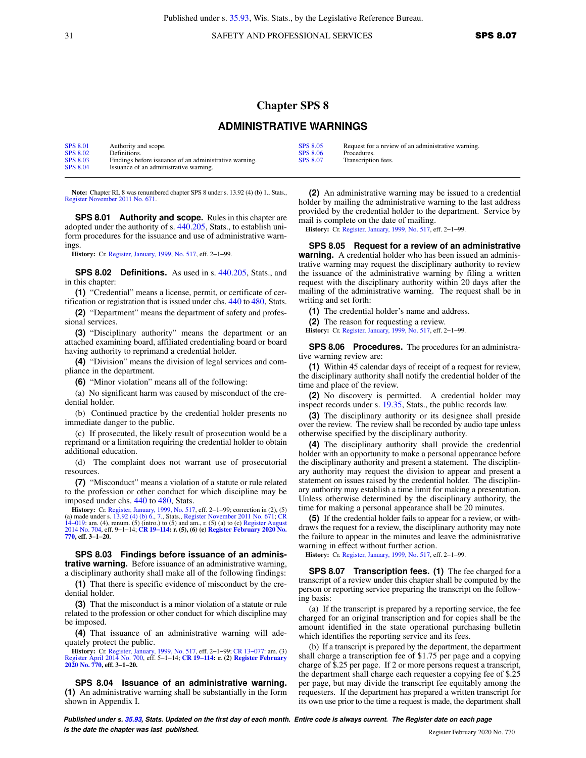31 SAFETY AND PROFESSIONAL SERVICES **SPS 8.07** 

## **Chapter SPS 8**

## **ADMINISTRATIVE WARNINGS**

| <b>SPS 8.01</b> | Authority and scope.                                   | <b>SPS 8.05</b> | Request for a review of an administrative warning. |
|-----------------|--------------------------------------------------------|-----------------|----------------------------------------------------|
| <b>SPS 8.02</b> | Definitions.                                           | SPS 8.06        | Procedures.                                        |
| <b>SPS 8.03</b> | Findings before issuance of an administrative warning. | <b>SPS 8.07</b> | Transcription fees.                                |
| <b>SPS 8.04</b> | Issuance of an administrative warning.                 |                 |                                                    |

**Note:** Chapter RL 8 was renumbered chapter SPS 8 under s. 13.92 (4) (b) 1., Stats., [Register November 2011 No. 671](https://docs.legis.wisconsin.gov/document/register/671/B/toc).

**SPS 8.01 Authority and scope.** Rules in this chapter are adopted under the authority of s. [440.205,](https://docs.legis.wisconsin.gov/document/statutes/440.205) Stats., to establish uniform procedures for the issuance and use of administrative warnings.

**History:** Cr. [Register, January, 1999, No. 517](https://docs.legis.wisconsin.gov/document/register/517/B/toc), eff. 2−1−99.

**SPS 8.02 Definitions.** As used in s. [440.205,](https://docs.legis.wisconsin.gov/document/statutes/440.205) Stats., and in this chapter:

**(1)** "Credential" means a license, permit, or certificate of certification or registration that is issued under chs. [440](https://docs.legis.wisconsin.gov/document/statutes/ch.%20440) to [480](https://docs.legis.wisconsin.gov/document/statutes/ch.%20480), Stats.

**(2)** "Department" means the department of safety and professional services.

**(3)** "Disciplinary authority" means the department or an attached examining board, affiliated credentialing board or board having authority to reprimand a credential holder.

**(4)** "Division" means the division of legal services and compliance in the department.

**(6)** "Minor violation" means all of the following:

(a) No significant harm was caused by misconduct of the credential holder.

(b) Continued practice by the credential holder presents no immediate danger to the public.

(c) If prosecuted, the likely result of prosecution would be a reprimand or a limitation requiring the credential holder to obtain additional education.

(d) The complaint does not warrant use of prosecutorial resources.

**(7)** "Misconduct" means a violation of a statute or rule related to the profession or other conduct for which discipline may be imposed under chs. [440](https://docs.legis.wisconsin.gov/document/statutes/ch.%20440) to [480,](https://docs.legis.wisconsin.gov/document/statutes/ch.%20480) Stats.

**History:** Cr. [Register, January, 1999, No. 517](https://docs.legis.wisconsin.gov/document/register/517/B/toc), eff. 2−1−99; correction in (2), (5) (a) made under s. [13.92 \(4\) \(b\) 6.](https://docs.legis.wisconsin.gov/document/statutes/13.92(4)(b)6.), [7.,](https://docs.legis.wisconsin.gov/document/statutes/13.92(4)(b)7.) Stats., [Register November 2011 No. 671;](https://docs.legis.wisconsin.gov/document/register/671/B/toc) [CR](https://docs.legis.wisconsin.gov/document/cr/2014/19) [14−019:](https://docs.legis.wisconsin.gov/document/cr/2014/19) am. (4), renum. (5) (intro.) to (5) and am., r. (5) (a) to (c) [Register August](https://docs.legis.wisconsin.gov/document/register/704/B/toc) [2014 No. 704,](https://docs.legis.wisconsin.gov/document/register/704/B/toc) eff. 9−1−14; **[CR 19−114](https://docs.legis.wisconsin.gov/document/cr/2019/114): r. (5), (6) (e) [Register February 2020 No.](https://docs.legis.wisconsin.gov/document/register/770/B/toc) [770](https://docs.legis.wisconsin.gov/document/register/770/B/toc), eff. 3−1−20.**

**SPS 8.03 Findings before issuance of an administrative warning.** Before issuance of an administrative warning, a disciplinary authority shall make all of the following findings:

**(1)** That there is specific evidence of misconduct by the credential holder.

**(3)** That the misconduct is a minor violation of a statute or rule related to the profession or other conduct for which discipline may be imposed.

**(4)** That issuance of an administrative warning will adequately protect the public.

**History:** Cr. [Register, January, 1999, No. 517,](https://docs.legis.wisconsin.gov/document/register/517/B/toc) eff. 2–1–99; CR 13–077: am. (3)<br>[Register April 2014 No. 700](https://docs.legis.wisconsin.gov/document/register/700/B/toc), eff. 5–1–14; **CR 19–114: r. (2) [Register February](https://docs.legis.wisconsin.gov/document/register/770/B/toc)**<br>[2020 No. 770](https://docs.legis.wisconsin.gov/document/register/770/B/toc), eff. 3–1–20.

**SPS 8.04 Issuance of an administrative warning. (1)** An administrative warning shall be substantially in the form shown in Appendix I.

**(2)** An administrative warning may be issued to a credential holder by mailing the administrative warning to the last address provided by the credential holder to the department. Service by mail is complete on the date of mailing.

**History:** Cr. [Register, January, 1999, No. 517](https://docs.legis.wisconsin.gov/document/register/517/B/toc), eff. 2−1−99.

**SPS 8.05 Request for a review of an administrative warning.** A credential holder who has been issued an administrative warning may request the disciplinary authority to review the issuance of the administrative warning by filing a written request with the disciplinary authority within 20 days after the mailing of the administrative warning. The request shall be in writing and set forth:

**(1)** The credential holder's name and address.

**(2)** The reason for requesting a review.

**History:** Cr. [Register, January, 1999, No. 517](https://docs.legis.wisconsin.gov/document/register/517/B/toc), eff. 2−1−99.

**SPS 8.06 Procedures.** The procedures for an administrative warning review are:

**(1)** Within 45 calendar days of receipt of a request for review, the disciplinary authority shall notify the credential holder of the time and place of the review.

**(2)** No discovery is permitted. A credential holder may inspect records under s. [19.35](https://docs.legis.wisconsin.gov/document/statutes/19.35), Stats., the public records law.

**(3)** The disciplinary authority or its designee shall preside over the review. The review shall be recorded by audio tape unless otherwise specified by the disciplinary authority.

**(4)** The disciplinary authority shall provide the credential holder with an opportunity to make a personal appearance before the disciplinary authority and present a statement. The disciplinary authority may request the division to appear and present a statement on issues raised by the credential holder. The disciplinary authority may establish a time limit for making a presentation. Unless otherwise determined by the disciplinary authority, the time for making a personal appearance shall be 20 minutes.

**(5)** If the credential holder fails to appear for a review, or withdraws the request for a review, the disciplinary authority may note the failure to appear in the minutes and leave the administrative warning in effect without further action.

**History:** Cr. [Register, January, 1999, No. 517](https://docs.legis.wisconsin.gov/document/register/517/B/toc), eff. 2−1−99.

**SPS 8.07 Transcription fees. (1)** The fee charged for a transcript of a review under this chapter shall be computed by the person or reporting service preparing the transcript on the following basis:

(a) If the transcript is prepared by a reporting service, the fee charged for an original transcription and for copies shall be the amount identified in the state operational purchasing bulletin which identifies the reporting service and its fees.

(b) If a transcript is prepared by the department, the department shall charge a transcription fee of \$1.75 per page and a copying charge of \$.25 per page. If 2 or more persons request a transcript, the department shall charge each requester a copying fee of \$.25 per page, but may divide the transcript fee equitably among the requesters. If the department has prepared a written transcript for its own use prior to the time a request is made, the department shall

**Published under s. [35.93,](https://docs.legis.wisconsin.gov/document/statutes/35.93) Stats. Updated on the first day of each month. Entire code is always current. The Register date on each page is the date the chapter was last published. is the date the chapter was last published.** Register February 2020 No. 770